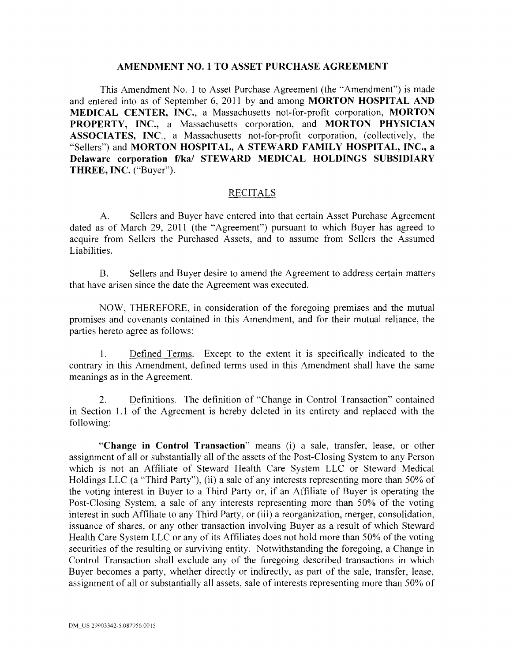## **AMENDMENT NO. 1 TO ASSET PURCHASE AGREEMENT**

This Amendment No. I to Asset Purchase Agreement (the "Amendment") is made and entered into as of September 6, 2011 by and among **MORTON HOSPITAL AND MEDICAL CENTER, INC.,** a Massachusetts not-for-profit corporation, **MORTON PROPERTY, INC.,** a Massachusetts corporation, and **MORTON PHYSICIAN ASSOCIATES, INC.,** a Massachusetts not-for-profit corporation, (collectively, the "Sellers") and **MORTON HOSPITAL, A STEWARD FAMILY HOSPITAL, INC., a Delaware corporation f/ka/ STEWARD MEDICAL HOLDINGS SUBSIDIARY THREE, INC.** ("Buyer").

## RECITALS

A. Sellers and Buyer have entered into that certain Asset Purchase Agreement dated as of March 29, 2011 (the "Agreement") pursuant to which Buyer has agreed to acquire from Sellers the Purchased Assets, and to assume from Sellers the Assumed Liabilities.

B. Sellers and Buyer desire to amend the Agreement to address certain matters that have arisen since the date the Agreement was executed.

NOW, THEREFORE, in consideration of the foregoing premises and the mutual promises and covenants contained in this Amendment, and for their mutual reliance, the parties hereto agree as follows:

1. Defined Terms. Except to the extent it is specifically indicated to the contrary in this Amendment, defined terms used in this Amendment shall have the same meanings as in the Agreement.

2. Definitions. The definition of "Change in Control Transaction" contained in Section 1.1 of the Agreement is hereby deleted in its entirety and replaced with the following:

**"Change in Control Transaction"** means (i) a sale, transfer, lease, or other assignment of all or substantially all of the assets of the Post-Closing System to any Person which is not an Affiliate of Steward Health Care System LLC or Steward Medical Holdings LLC (a "Third Party"), (ii) a sale of any interests representing more than 50% of the voting interest in Buyer to a Third Party or, if an Affiliate of Buyer is operating the Post-Closing System, a sale of any interests representing more than 50% of the voting interest in such Affiliate to any Third Party, or (iii) a reorganization, merger, consolidation, issuance of shares, or any other transaction involving Buyer as a result of which Steward Health Care System LLC or any of its Affiliates does not hold more than 50% of the voting securities of the resulting or surviving entity. Notwithstanding the foregoing, a Change in Control Transaction shall exclude any of the foregoing described transactions in which Buyer becomes a party, whether directly or indirectly, as part of the sale, transfer, lease, assignment of all or substantially all assets, sale of interests representing more than 50% of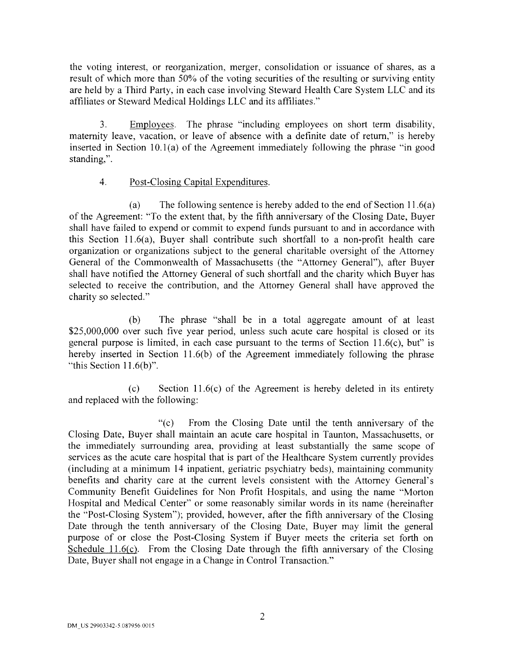the voting interest, or reorganization, merger, consolidation or issuance of shares, as a result of which more than 50% of the voting securities of the resulting or surviving entity are held by a Third Party, in each case involving Steward Health Care System LLC and its affiliates or Steward Medical Holdings LLC and its affiliates."

3. Employees. The phrase "including employees on short term disability, maternity leave, vacation, or leave of absence with a definite date of return," is hereby inserted in Section  $10.1(a)$  of the Agreement immediately following the phrase "in good standing,".

# 4. Post-Closing Capital Expenditures.

(a) The following sentence is hereby added to the end of Section 11.6(a) of the Agreement: "To the extent that, by the fifth anniversary of the Closing Date, Buyer shall have failed to expend or commit to expend funds pursuant to and in accordance with this Section 11.6(a), Buyer shall contribute such shortfall to a non-profit health care organization or organizations subject to the general charitable oversight of the Attorney General of the Commonwealth of Massachusetts (the "Attorney General"), after Buyer shall have notified the Attorney General of such shortfall and the charity which Buyer has selected to receive the contribution, and the Attorney General shall have approved the charity so selected."

(b) The phrase "shall be in a total aggregate amount of at least \$25,000,000 over such five year period, unless such acute care hospital is closed or its general purpose is limited, in each case pursuant to the terms of Section  $11.6(c)$ , but" is hereby inserted in Section 11.6(b) of the Agreement immediately following the phrase "this Section  $11.6(b)$ ".

(c) Section 11.6(c) of the Agreement is hereby deleted in its entirety and replaced with the following:

"(c) From the Closing Date until the tenth anniversary of the Closing Date, Buyer shall maintain an acute care hospital in Taunton, Massachusetts, or the immediately surrounding area, providing at least substantially the same scope of services as the acute care hospital that is part of the Healthcare System currently provides (including at a minimum 14 inpatient, geriatric psychiatry beds), maintaining community benefits and charity care at the current levels consistent with the Attorney General's Community Benefit Guidelines for Non Profit Hospitals, and using the name "Morton Hospital and Medical Center" or some reasonably similar words in its name (hereinafter the "Post-Closing System"); provided, however, after the fifth anniversary of the Closing Date through the tenth anniversary of the Closing Date, Buyer may limit the general purpose of or close the Post-Closing System if Buyer meets the criteria set forth on Schedule 11.6(c). From the Closing Date through the fifth anniversary of the Closing Date, Buyer shall not engage in a Change in Control Transaction."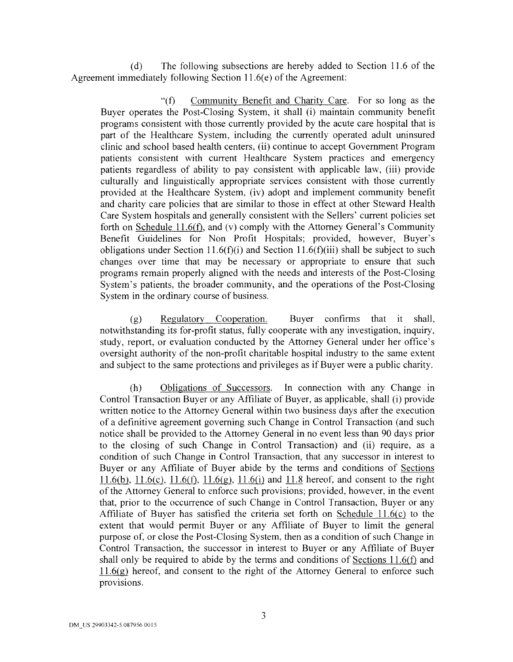(d) The following subsections are hereby added to Section 11.6 of the Agreement immediately following Section  $11.6(e)$  of the Agreement:

"(f) Community Benefit and Charity Care. For so long as the Buyer operates the Post-Closing System, it shall (i) maintain community benefit programs consistent with those currently provided by the acute care hospital that is part of the Healthcare System, including the currently operated adult uninsured clinic and school based health centers, (ii) continue to accept Government Program patients consistent with current Healthcare System practices and emergency patients regardless of ability to pay consistent with applicable law, (iii) provide culturally and linguistically appropriate services consistent with those currently provided at the Healthcare System, (iv) adopt and implement community benefit and charity care policies that are similar to those in effect at other Steward Health Care System hospitals and generally consistent with the Sellers' current policies set forth on Schedule 11.6(f), and (v) comply with the Attorney General's Community Benefit Guidelines for Non Profit Hospitals; provided, however, Buyer's obligations under Section 11.6(f)(i) and Section 11.6(f)(iii) shall be subject to such changes over time that may be necessary or appropriate to ensure that such programs remain properly aligned with the needs and interests of the Post-Closing System's patients, the broader community, and the operations of the Post-Closing System in the ordinary course of business.

(g) Regulatory Cooperation. Buyer confirms that it shall, notwithstanding its for-profit status, fully cooperate with any investigation, inquiry, study, report, or evaluation conducted by the Attorney General under her office's oversight authority of the non-profit charitable hospital industry to the same extent and subject to the same protections and privileges as if Buyer were a public charity.

(h) Obligations of Successors. In connection with any Change in Control Transaction Buyer or any Affiliate of Buyer, as applicable, shall (i) provide written notice to the Attorney General within two business days after the execution of a definitive agreement governing such Change in Control Transaction (and such notice shall be provided to the Attorney General in no event less than 90 days prior to the closing of such Change in Control Transaction) and (ii) require, as a condition of such Change in Control Transaction, that any successor in interest to Buyer or any Affiliate of Buyer abide by the terms and conditions of Sections 11.6(b), 11.6(c), 11.6(f), 11.6(g), 11.6(i) and 11.8 hereof, and consent to the right of the Attorney General to enforce such provisions; provided, however, in the event that, prior to the occurrence of such Change in Control Transaction, Buyer or any Affiliate of Buyer has satisfied the criteria set forth on Schedule 11.6(c) to the extent that would permit Buyer or any Affiliate of Buyer to limit the general purpose of, or close the Post-Closing System, then as a condition of such Change in Control Transaction, the successor in interest to Buyer or any Affiliate of Buyer shall only be required to abide by the terms and conditions of Sections  $11.6(f)$  and  $11.6(g)$  hereof, and consent to the right of the Attorney General to enforce such provisions.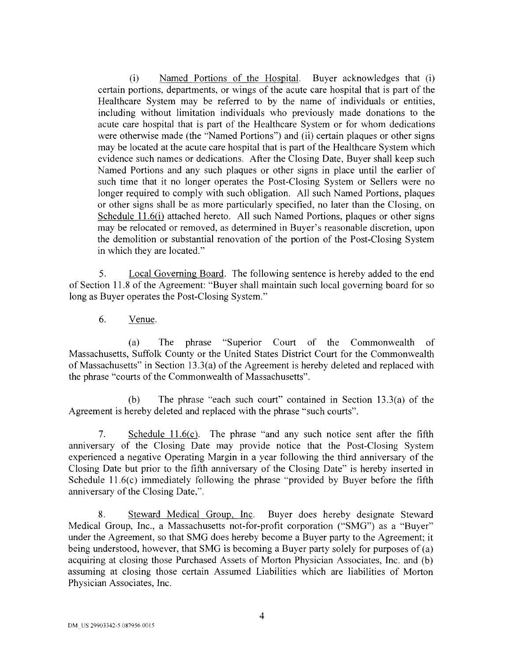(i) Named Portions of the Hospital. Buyer acknowledges that (i) certain portions, departments, or wings of the acute care hospital that is part of the Healthcare System may be referred to by the name of individuals or entities, including without limitation individuals who previously made donations to the acute care hospital that is part of the Healthcare System or for whom dedications were otherwise made (the "Named Portions") and (ii) certain plaques or other signs may be located at the acute care hospital that is part of the Health care System which evidence such names or dedications. After the Closing Date, Buyer shall keep such Named Portions and any such plaques or other signs in place until the earlier of such time that it no longer operates the Post-Closing System or Sellers were no longer required to comply with such obligation. All such Named Portions, plaques or other signs shall be as more particularly specified, no later than the Closing, on Schedule 11.6(i) attached hereto. All such Named Portions, plaques or other signs may be relocated or removed, as determined in Buyer's reasonable discretion, upon the demolition or substantial renovation of the portion of the Post-Closing System in which they are located."

5. Local Governing Board. The following sentence is hereby added to the end of Section 11.8 of the Agreement: "Buyer shall maintain such local governing board for so long as Buyer operates the Post-Closing System."

6. Venue.

(a) The phrase "Superior Court of the Commonwealth of Massachusetts, Suffolk County or the United States District Court for the Commonwealth of Massachusetts" in Section 13.3(a) of the Agreement is hereby deleted and replaced with the phrase "courts of the Commonwealth of Massachusetts".

(b) The phrase "each such court" contained in Section 13.3(a) of the Agreement is hereby deleted and replaced with the phrase "such courts".

7. Schedule  $11.6(c)$ . The phrase "and any such notice sent after the fifth anniversary of the Closing Date may provide notice that the Post-Closing System experienced a negative Operating Margin in a year following the third anniversary of the Closing Date but prior to the fifth anniversary of the Closing Date" is hereby inserted in Schedule 11.6(c) immediately following the phrase "provided by Buyer before the fifth anniversary of the Closing Date,".

8. Steward Medical Group, Inc. Buyer does hereby designate Steward Medical Group, Inc., a Massachusetts not-for-profit corporation ("SMG") as a "Buyer" under the Agreement, so that SMG does hereby become a Buyer party to the Agreement; it being understood, however, that SMG is becoming a Buyer party solely for purposes of (a) acquiring at closing those Purchased Assets of Morton Physician Associates, Inc. and (b) assuming at closing those certain Assumed Liabilities which are liabilities of Morton Physician Associates, Inc.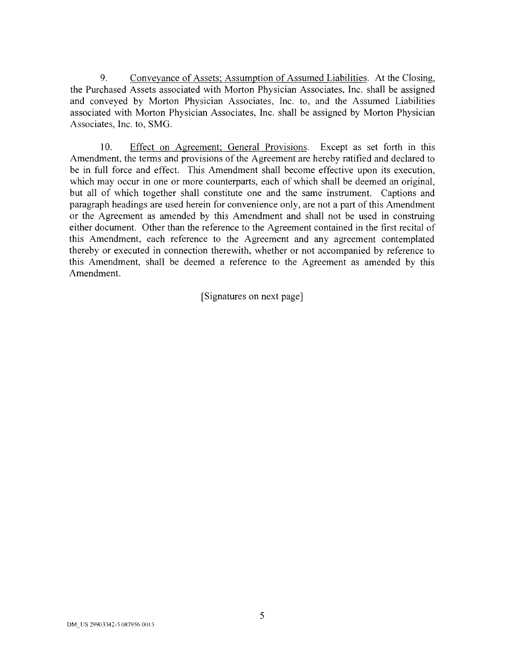9. Conveyance of Assets; Assumption of Assumed Liabilities. At the Closing, the Purchased Assets associated with Morton Physician Associates, Inc. shall be assigned and conveyed by Morton Physician Associates, Inc. to, and the Assumed Liabilities associated with Morton Physician Associates, Inc. shall be assigned by Morton Physician Associates, Inc. to, SMG.

10. Effect on Agreement; General Provisions. Except as set forth in this Amendment, the terms and provisions of the Agreement are hereby ratified and declared to be in full force and effect. This Amendment shall become effective upon its execution, which may occur in one or more counterparts, each of which shall be deemed an original, but all of which together shall constitute one and the same instrument. Captions and paragraph headings are used herein for convenience only, are not a part of this Amendment or the Agreement as amended by this Amendment and shall not be used in construing either document. Other than the reference to the Agreement contained in the first recital of this Amendment, each reference to the Agreement and any agreement contemplated thereby or executed in connection therewith, whether or not accompanied by reference to this Amendment, shall be deemed a reference to the Agreement as amended by this Amendment.

[Signatures on next page]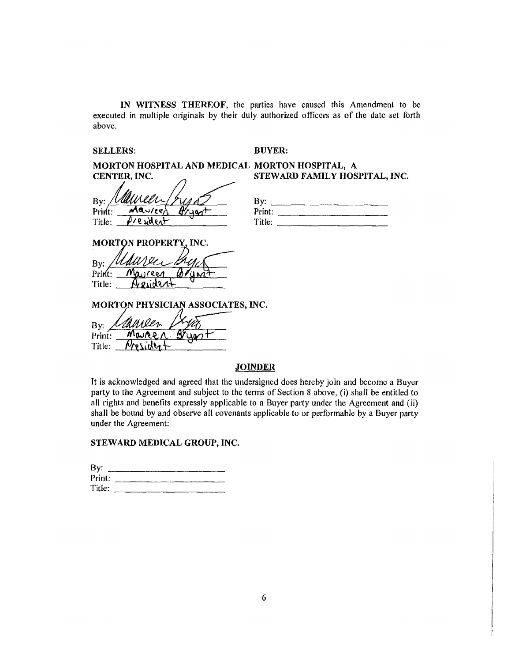IN WITNESS THEREOF, the parties have caused this Amendment to be executed in multiple originals by their duly authorized officers as of the date set forth above.

## SELLERS: BUYER:

MORTON HOSPITAL AND MEDICAL MORTON HOSPITAL, A CENTER, INC.  $S$  STEWARD FAMILY HOSPITAL, INC.

By:  $\frac{\sqrt{U}$ *WWWWW* بمصدر  $Tite:$   $\beta$ /e  $\frac{d}{d}$ ent

| By:    |  |
|--------|--|
| Print: |  |
| Title: |  |
|        |  |

**MORTON PROPERTY, INC.** 

By:  $Print:$ Title: Aresident

MORTON PHYSICIAN ASSOCIATES, INC.

By: Print: MOURO Title: Morride

## **JOINDER**

It is acknowledged and agreed that the undersigned does hereby join and become a Buyer party to the Agreement and subject to the terms of Section 8 above, (i) shall be entitled to all rights and benefits expressly applicable to a Buyer party under the Agreement and (ii) shall be bound by and observe all covenants applicable to or performable by a Buyer party under the Agreement:

## STEWARD MEDICAL GROUP, INC.

| By:    |  |
|--------|--|
| Print: |  |
| Title: |  |
|        |  |